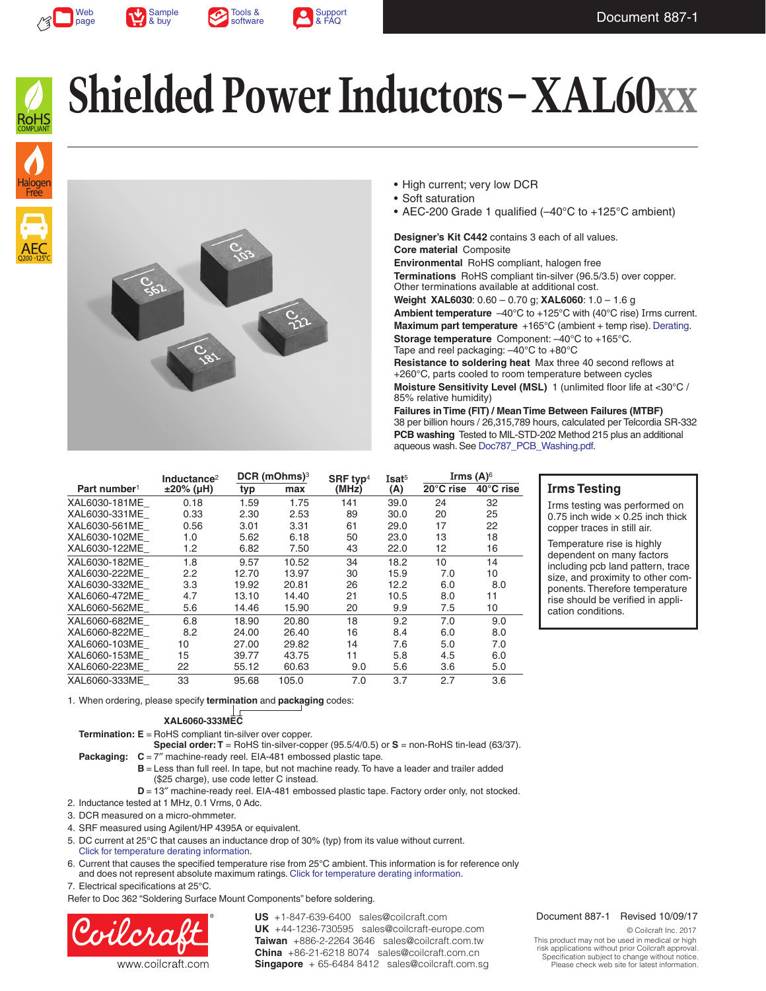







## **Shielded Power Inductors – XAL60xx**



- High current; very low DCR
- Soft saturation
- AEC-200 Grade 1 qualified (–40°C to +125°C ambient)

**Designer's Kit C442** contains 3 each of all values.

**Core material** Composite **Environmental** RoHS compliant, halogen free **Terminations** RoHS compliant tin-silver (96.5/3.5) over copper. Other terminations available at additional cost. **Weight XAL6030**: 0.60 – 0.70 g; **XAL6060**: 1.0 – 1.6 g **Ambient temperature**  $-40^{\circ}$ C to  $+125^{\circ}$ C with (40°C rise) Irms current. **Maximum part temperature** +165°C (ambient + temp rise). [Derating.](https://www.coilcraft.com/apps/compare/compare_power.cfm) **Storage temperature** Component: –40°C to +165°C. Tape and reel packaging: –40°C to +80°C **Resistance to soldering heat** Max three 40 second reflows at +260°C, parts cooled to room temperature between cycles

**Moisture Sensitivity Level (MSL)** 1 (unlimited floor life at <30°C / 85% relative humidity)

**Failures in Time (FIT) / Mean Time Between Failures (MTBF)** 38 per billion hours / 26,315,789 hours, calculated per Telcordia SR-332 **PCB washing** Tested to MIL-STD-202 Method 215 plus an additional aqueous wash. See [Doc787\\_PCB\\_Washing.pdf](https://www.coilcraft.com/pdfs/Doc787_PCB_Washing.pdf).

|                          | Inductance <sup>2</sup> | DCR (mOhms) <sup>3</sup> |       | SRF typ <sup>4</sup> | Isat <sup>5</sup> | Irms $(A)$ <sup>6</sup> |           |
|--------------------------|-------------------------|--------------------------|-------|----------------------|-------------------|-------------------------|-----------|
| Part number <sup>1</sup> | $±20\%$ (µH)            | typ                      | max   | (MHz)                | (A)               | 20°C rise               | 40°C rise |
| XAL6030-181ME            | 0.18                    | 1.59                     | 1.75  | 141                  | 39.0              | 24                      | 32        |
| XAL6030-331ME            | 0.33                    | 2.30                     | 2.53  | 89                   | 30.0              | 20                      | 25        |
| XAL6030-561ME            | 0.56                    | 3.01                     | 3.31  | 61                   | 29.0              | 17                      | 22        |
| XAL6030-102ME            | 1.0                     | 5.62                     | 6.18  | 50                   | 23.0              | 13                      | 18        |
| XAL6030-122ME            | 1.2                     | 6.82                     | 7.50  | 43                   | 22.0              | 12                      | 16        |
| XAL6030-182ME            | 1.8                     | 9.57                     | 10.52 | 34                   | 18.2              | 10                      | 14        |
| XAL6030-222ME            | 2.2                     | 12.70                    | 13.97 | 30                   | 15.9              | 7.0                     | 10        |
| XAL6030-332ME            | 3.3                     | 19.92                    | 20.81 | 26                   | 12.2              | 6.0                     | 8.0       |
| XAL6060-472ME            | 4.7                     | 13.10                    | 14.40 | 21                   | 10.5              | 8.0                     | 11        |
| XAL6060-562ME            | 5.6                     | 14.46                    | 15.90 | 20                   | 9.9               | 7.5                     | 10        |
| XAL6060-682ME            | 6.8                     | 18.90                    | 20.80 | 18                   | 9.2               | 7.0                     | 9.0       |
| XAL6060-822ME            | 8.2                     | 24.00                    | 26.40 | 16                   | 8.4               | 6.0                     | 8.0       |
| XAL6060-103ME            | 10                      | 27.00                    | 29.82 | 14                   | 7.6               | 5.0                     | 7.0       |
| XAL6060-153ME            | 15                      | 39.77                    | 43.75 | 11                   | 5.8               | 4.5                     | 6.0       |
| XAL6060-223ME            | 22                      | 55.12                    | 60.63 | 9.0                  | 5.6               | 3.6                     | 5.0       |
| XAL6060-333ME            | 33                      | 95.68                    | 105.0 | 7.0                  | 3.7               | 2.7                     | 3.6       |

## **Irms Testing**

Irms testing was performed on 0.75 inch wide  $\times$  0.25 inch thick copper traces in still air.

Temperature rise is highly dependent on many factors including pcb land pattern, trace size, and proximity to other components. Therefore temperature rise should be verified in application conditions.

1. When ordering, please specify **termination** and **packaging** codes:

**XAL6060-333MEC**

**Termination: E** = RoHS compliant tin-silver over copper.

**Special order: T** = RoHS tin-silver-copper (95.5/4/0.5) or **S** = non-RoHS tin-lead (63/37).

- **Packaging:**  $C = 7''$  machine-ready reel. EIA-481 embossed plastic tape.
	- **B** = Less than full reel. In tape, but not machine ready. To have a leader and trailer added (\$25 charge), use code letter C instead.
	- **D** = 13" machine-ready reel. EIA-481 embossed plastic tape. Factory order only, not stocked.
- 2. Inductance tested at 1 MHz, 0.1 Vrms, 0 Adc.
- 3. DCR measured on a micro-ohmmeter.
- 4. SRF measured using Agilent/HP 4395A or equivalent.
- 5. DC current at 25°C that causes an inductance drop of 30% (typ) from its value without current. [Click for temperature derating information.](https://www.coilcraft.com/apps/compare/compare_power.cfm)
- 6. Current that causes the specified temperature rise from 25°C ambient. This information is for reference only and does not represent absolute maximum ratings. [Click for temperature derating information](https://www.coilcraft.com/apps/compare/compare_power.cfm).

7. Electrical specifications at 25°C.

Refer to Doc 362 "Soldering Surface Mount Components" before soldering.



**US** +1-847-639-6400 sales@coilcraft.com **UK** +44-1236-730595 sales@coilcraft-europe.com **Taiwan** +886-2-2264 3646 sales@coilcraft.com.tw **China** +86-21-6218 8074 sales@coilcraft.com.cn **Singapore** + 65-6484 8412 sales@coilcraft.com.sg

#### Document 887-1 Revised 10/09/17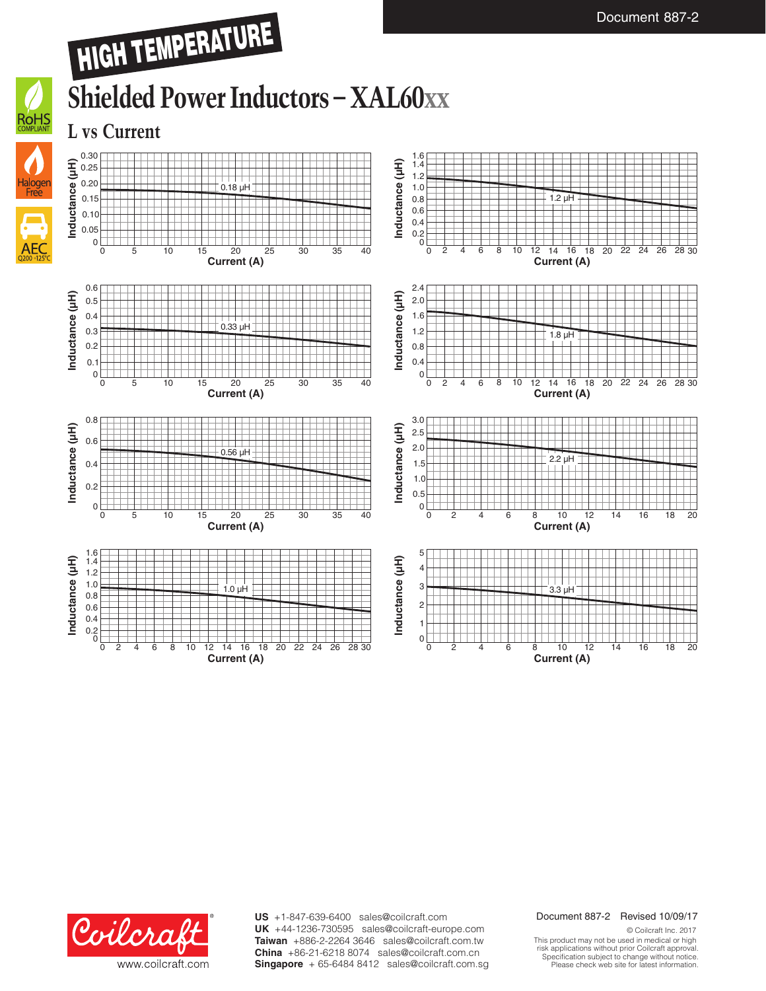## HIGH TEMPERATURE





















**US** +1-847-639-6400 sales@coilcraft.com **UK** +44-1236-730595 sales@coilcraft-europe.com **Taiwan** +886-2-2264 3646 sales@coilcraft.com.tw **China** +86-21-6218 8074 sales@coilcraft.com.cn **Singapore** + 65-6484 8412 sales@coilcraft.com.sg

#### Document 887-2 Revised 10/09/17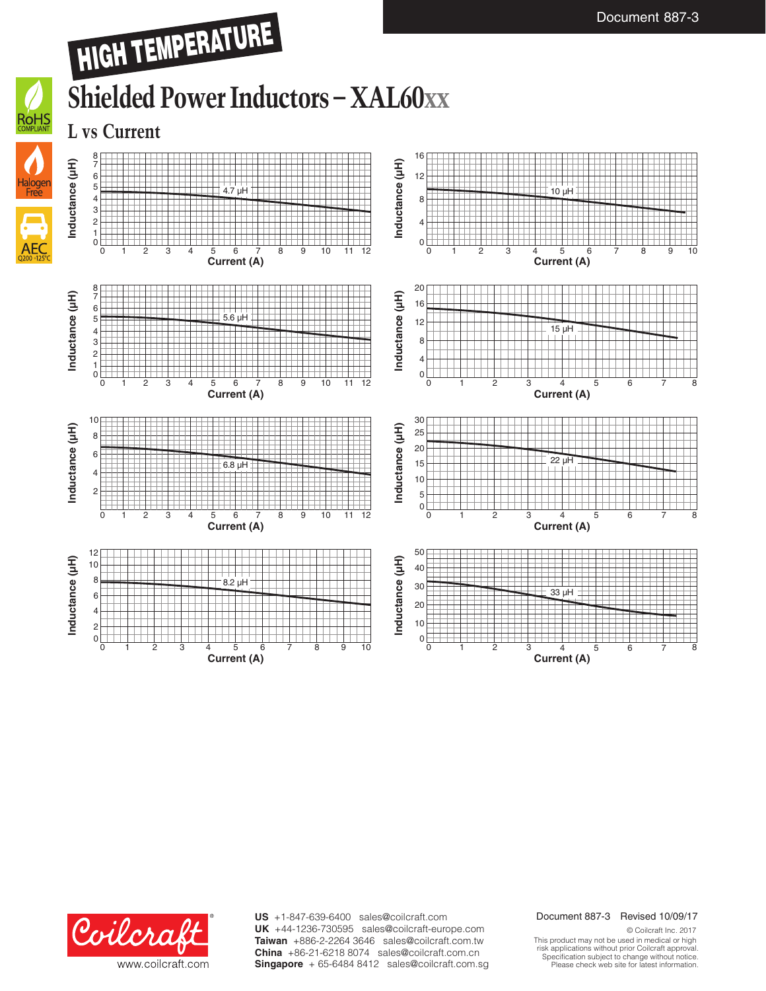



**US** +1-847-639-6400 sales@coilcraft.com **UK** +44-1236-730595 sales@coilcraft-europe.com **Taiwan** +886-2-2264 3646 sales@coilcraft.com.tw **China** +86-21-6218 8074 sales@coilcraft.com.cn **Singapore** + 65-6484 8412 sales@coilcraft.com.sg

#### Document 887-3 Revised 10/09/17